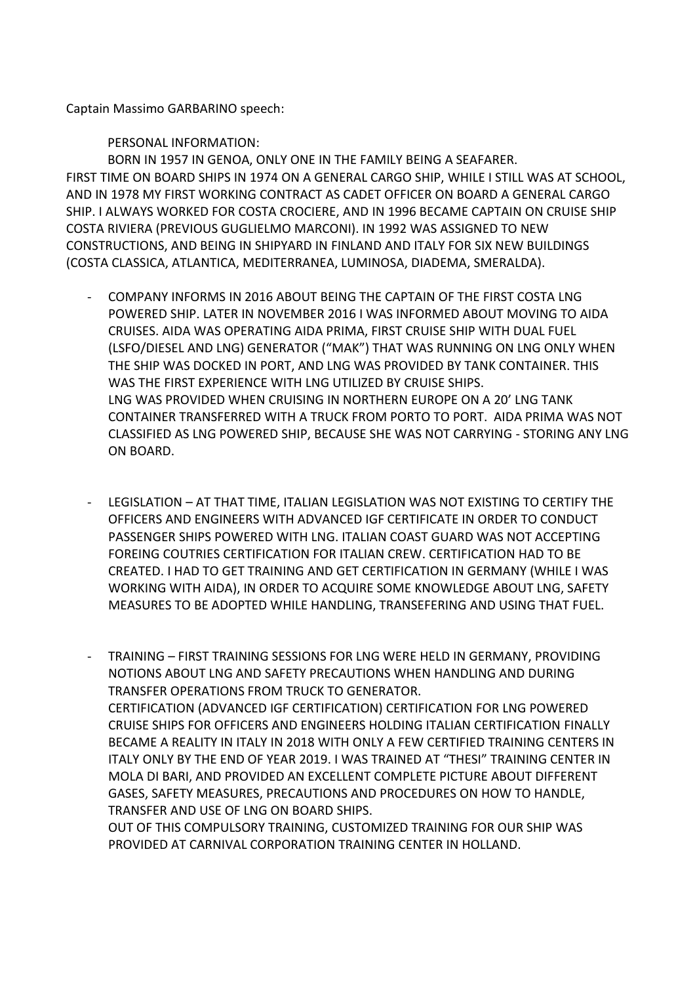Captain Massimo GARBARINO speech:

PERSONAL INFORMATION:

BORN IN 1957 IN GENOA, ONLY ONE IN THE FAMILY BEING A SEAFARER. FIRST TIME ON BOARD SHIPS IN 1974 ON A GENERAL CARGO SHIP, WHILE I STILL WAS AT SCHOOL, AND IN 1978 MY FIRST WORKING CONTRACT AS CADET OFFICER ON BOARD A GENERAL CARGO SHIP. I ALWAYS WORKED FOR COSTA CROCIERE, AND IN 1996 BECAME CAPTAIN ON CRUISE SHIP COSTA RIVIERA (PREVIOUS GUGLIELMO MARCONI). IN 1992 WAS ASSIGNED TO NEW CONSTRUCTIONS, AND BEING IN SHIPYARD IN FINLAND AND ITALY FOR SIX NEW BUILDINGS (COSTA CLASSICA, ATLANTICA, MEDITERRANEA, LUMINOSA, DIADEMA, SMERALDA).

- COMPANY INFORMS IN 2016 ABOUT BEING THE CAPTAIN OF THE FIRST COSTA LNG POWERED SHIP. LATER IN NOVEMBER 2016 I WAS INFORMED ABOUT MOVING TO AIDA CRUISES. AIDA WAS OPERATING AIDA PRIMA, FIRST CRUISE SHIP WITH DUAL FUEL (LSFO/DIESEL AND LNG) GENERATOR ("MAK") THAT WAS RUNNING ON LNG ONLY WHEN THE SHIP WAS DOCKED IN PORT, AND LNG WAS PROVIDED BY TANK CONTAINER. THIS WAS THE FIRST EXPERIENCE WITH LNG UTILIZED BY CRUISE SHIPS. LNG WAS PROVIDED WHEN CRUISING IN NORTHERN EUROPE ON A 20' LNG TANK CONTAINER TRANSFERRED WITH A TRUCK FROM PORTO TO PORT. AIDA PRIMA WAS NOT CLASSIFIED AS LNG POWERED SHIP, BECAUSE SHE WAS NOT CARRYING - STORING ANY LNG ON BOARD.
- LEGISLATION AT THAT TIME, ITALIAN LEGISLATION WAS NOT EXISTING TO CERTIFY THE OFFICERS AND ENGINEERS WITH ADVANCED IGF CERTIFICATE IN ORDER TO CONDUCT PASSENGER SHIPS POWERED WITH LNG. ITALIAN COAST GUARD WAS NOT ACCEPTING FOREING COUTRIES CERTIFICATION FOR ITALIAN CREW. CERTIFICATION HAD TO BE CREATED. I HAD TO GET TRAINING AND GET CERTIFICATION IN GERMANY (WHILE I WAS WORKING WITH AIDA), IN ORDER TO ACQUIRE SOME KNOWLEDGE ABOUT LNG, SAFETY MEASURES TO BE ADOPTED WHILE HANDLING, TRANSEFERING AND USING THAT FUEL.

- TRAINING – FIRST TRAINING SESSIONS FOR LNG WERE HELD IN GERMANY, PROVIDING NOTIONS ABOUT LNG AND SAFETY PRECAUTIONS WHEN HANDLING AND DURING TRANSFER OPERATIONS FROM TRUCK TO GENERATOR. CERTIFICATION (ADVANCED IGF CERTIFICATION) CERTIFICATION FOR LNG POWERED CRUISE SHIPS FOR OFFICERS AND ENGINEERS HOLDING ITALIAN CERTIFICATION FINALLY BECAME A REALITY IN ITALY IN 2018 WITH ONLY A FEW CERTIFIED TRAINING CENTERS IN ITALY ONLY BY THE END OF YEAR 2019. I WAS TRAINED AT "THESI" TRAINING CENTER IN MOLA DI BARI, AND PROVIDED AN EXCELLENT COMPLETE PICTURE ABOUT DIFFERENT GASES, SAFETY MEASURES, PRECAUTIONS AND PROCEDURES ON HOW TO HANDLE, TRANSFER AND USE OF LNG ON BOARD SHIPS.

OUT OF THIS COMPULSORY TRAINING, CUSTOMIZED TRAINING FOR OUR SHIP WAS PROVIDED AT CARNIVAL CORPORATION TRAINING CENTER IN HOLLAND.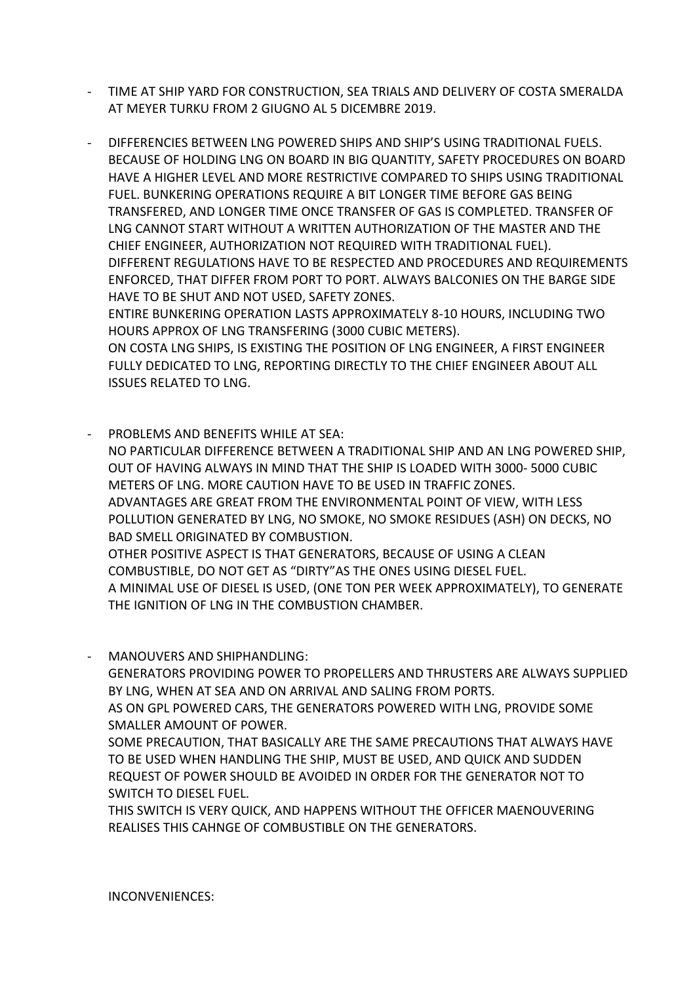- TIME AT SHIP YARD FOR CONSTRUCTION, SEA TRIALS AND DELIVERY OF COSTA SMERALDA AT MEYER TURKU FROM 2 GIUGNO AL 5 DICEMBRE 2019.
- DIFFERENCIES BETWEEN LNG POWERED SHIPS AND SHIP'S USING TRADITIONAL FUELS. BECAUSE OF HOLDING LNG ON BOARD IN BIG QUANTITY, SAFETY PROCEDURES ON BOARD HAVE A HIGHER LEVEL AND MORE RESTRICTIVE COMPARED TO SHIPS USING TRADITIONAL FUEL. BUNKERING OPERATIONS REQUIRE A BIT LONGER TIME BEFORE GAS BEING TRANSFERED, AND LONGER TIME ONCE TRANSFER OF GAS IS COMPLETED. TRANSFER OF LNG CANNOT START WITHOUT A WRITTEN AUTHORIZATION OF THE MASTER AND THE CHIEF ENGINEER, AUTHORIZATION NOT REQUIRED WITH TRADITIONAL FUEL). DIFFERENT REGULATIONS HAVE TO BE RESPECTED AND PROCEDURES AND REQUIREMENTS ENFORCED, THAT DIFFER FROM PORT TO PORT. ALWAYS BALCONIES ON THE BARGE SIDE HAVE TO BE SHUT AND NOT USED, SAFETY ZONES. ENTIRE BUNKERING OPERATION LASTS APPROXIMATELY 8-10 HOURS, INCLUDING TWO

HOURS APPROX OF LNG TRANSFERING (3000 CUBIC METERS). ON COSTA LNG SHIPS, IS EXISTING THE POSITION OF LNG ENGINEER, A FIRST ENGINEER FULLY DEDICATED TO LNG, REPORTING DIRECTLY TO THE CHIEF ENGINEER ABOUT ALL ISSUES RELATED TO LNG.

- PROBLEMS AND BENEFITS WHILE AT SEA: NO PARTICULAR DIFFERENCE BETWEEN A TRADITIONAL SHIP AND AN LNG POWERED SHIP, OUT OF HAVING ALWAYS IN MIND THAT THE SHIP IS LOADED WITH 3000- 5000 CUBIC METERS OF LNG. MORE CAUTION HAVE TO BE USED IN TRAFFIC ZONES. ADVANTAGES ARE GREAT FROM THE ENVIRONMENTAL POINT OF VIEW, WITH LESS POLLUTION GENERATED BY LNG, NO SMOKE, NO SMOKE RESIDUES (ASH) ON DECKS, NO BAD SMELL ORIGINATED BY COMBUSTION. OTHER POSITIVE ASPECT IS THAT GENERATORS, BECAUSE OF USING A CLEAN COMBUSTIBLE, DO NOT GET AS "DIRTY"AS THE ONES USING DIESEL FUEL. A MINIMAL USE OF DIESEL IS USED, (ONE TON PER WEEK APPROXIMATELY), TO GENERATE THE IGNITION OF LNG IN THE COMBUSTION CHAMBER.
- MANOUVERS AND SHIPHANDLING:

GENERATORS PROVIDING POWER TO PROPELLERS AND THRUSTERS ARE ALWAYS SUPPLIED BY LNG, WHEN AT SEA AND ON ARRIVAL AND SALING FROM PORTS.

AS ON GPL POWERED CARS, THE GENERATORS POWERED WITH LNG, PROVIDE SOME SMALLER AMOUNT OF POWER.

SOME PRECAUTION, THAT BASICALLY ARE THE SAME PRECAUTIONS THAT ALWAYS HAVE TO BE USED WHEN HANDLING THE SHIP, MUST BE USED, AND QUICK AND SUDDEN REQUEST OF POWER SHOULD BE AVOIDED IN ORDER FOR THE GENERATOR NOT TO SWITCH TO DIESEL FUEL.

THIS SWITCH IS VERY QUICK, AND HAPPENS WITHOUT THE OFFICER MAENOUVERING REALISES THIS CAHNGE OF COMBUSTIBLE ON THE GENERATORS.

INCONVENIENCES: